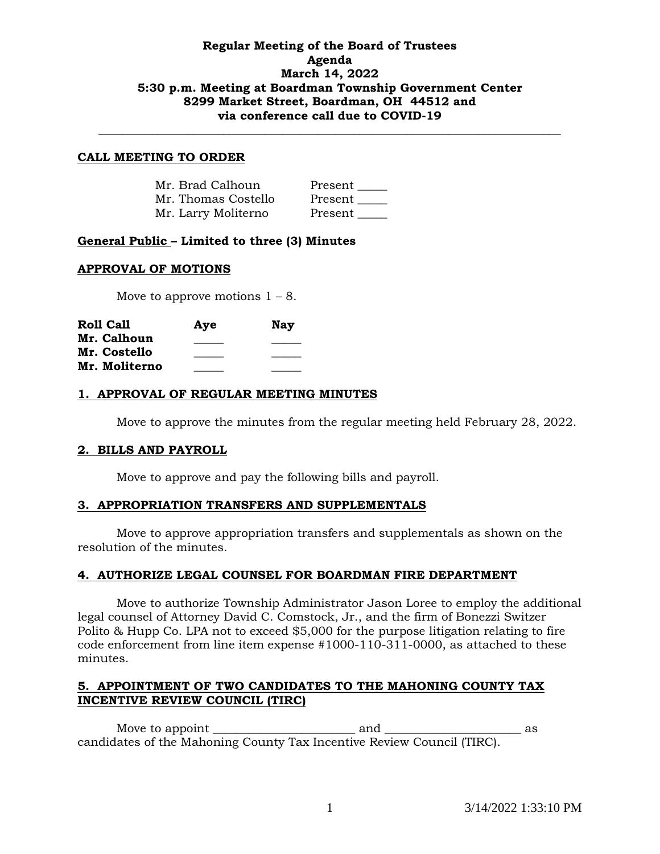## **Regular Meeting of the Board of Trustees Agenda March 14, 2022 5:30 p.m. Meeting at Boardman Township Government Center 8299 Market Street, Boardman, OH 44512 and via conference call due to COVID-19**

**\_\_\_\_\_\_\_\_\_\_\_\_\_\_\_\_\_\_\_\_\_\_\_\_\_\_\_\_\_\_\_\_\_\_\_\_\_\_\_\_\_\_\_\_\_\_\_\_\_\_\_\_\_\_\_\_\_\_\_\_\_\_\_\_\_\_\_\_\_\_\_\_\_\_\_\_\_\_**

#### **CALL MEETING TO ORDER**

| Mr. Brad Calhoun    | Present |
|---------------------|---------|
| Mr. Thomas Costello | Present |
| Mr. Larry Moliterno | Present |

### **General Public – Limited to three (3) Minutes**

#### **APPROVAL OF MOTIONS**

Move to approve motions  $1 - 8$ .

| <b>Roll Call</b> | Aye | <b>Nay</b> |
|------------------|-----|------------|
| Mr. Calhoun      |     |            |
| Mr. Costello     |     |            |
| Mr. Moliterno    |     |            |

### **1. APPROVAL OF REGULAR MEETING MINUTES**

Move to approve the minutes from the regular meeting held February 28, 2022.

### **2. BILLS AND PAYROLL**

Move to approve and pay the following bills and payroll.

#### **3. APPROPRIATION TRANSFERS AND SUPPLEMENTALS**

Move to approve appropriation transfers and supplementals as shown on the resolution of the minutes.

### **4. AUTHORIZE LEGAL COUNSEL FOR BOARDMAN FIRE DEPARTMENT**

Move to authorize Township Administrator Jason Loree to employ the additional legal counsel of Attorney David C. Comstock, Jr., and the firm of Bonezzi Switzer Polito & Hupp Co. LPA not to exceed \$5,000 for the purpose litigation relating to fire code enforcement from line item expense #1000-110-311-0000, as attached to these minutes.

### **5. APPOINTMENT OF TWO CANDIDATES TO THE MAHONING COUNTY TAX INCENTIVE REVIEW COUNCIL (TIRC)**

Move to appoint \_\_\_\_\_\_\_\_\_\_\_\_\_\_\_\_\_\_\_\_\_\_\_\_ and \_\_\_\_\_\_\_\_\_\_\_\_\_\_\_\_\_\_\_\_\_\_\_ as candidates of the Mahoning County Tax Incentive Review Council (TIRC).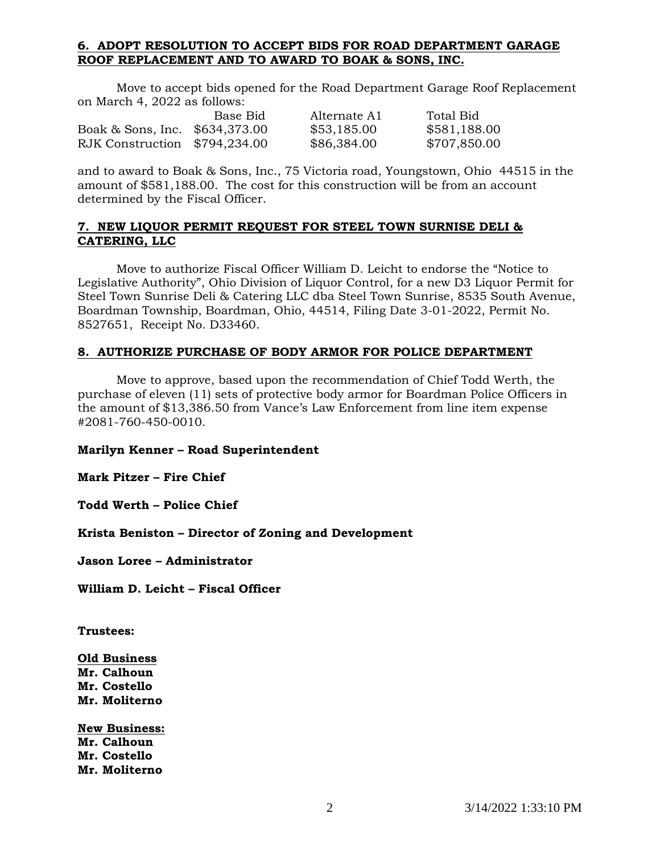# **6. ADOPT RESOLUTION TO ACCEPT BIDS FOR ROAD DEPARTMENT GARAGE ROOF REPLACEMENT AND TO AWARD TO BOAK & SONS, INC.**

Move to accept bids opened for the Road Department Garage Roof Replacement on March 4, 2022 as follows:

|                                | Base Bid | Alternate A1 | Total Bid    |
|--------------------------------|----------|--------------|--------------|
| Boak & Sons, Inc. \$634,373.00 |          | \$53,185.00  | \$581,188.00 |
| RJK Construction \$794,234.00  |          | \$86,384.00  | \$707,850.00 |

and to award to Boak & Sons, Inc., 75 Victoria road, Youngstown, Ohio 44515 in the amount of \$581,188.00. The cost for this construction will be from an account determined by the Fiscal Officer.

### **7. NEW LIQUOR PERMIT REQUEST FOR STEEL TOWN SURNISE DELI & CATERING, LLC**

Move to authorize Fiscal Officer William D. Leicht to endorse the "Notice to Legislative Authority", Ohio Division of Liquor Control, for a new D3 Liquor Permit for Steel Town Sunrise Deli & Catering LLC dba Steel Town Sunrise, 8535 South Avenue, Boardman Township, Boardman, Ohio, 44514, Filing Date 3-01-2022, Permit No. 8527651, Receipt No. D33460.

### **8. AUTHORIZE PURCHASE OF BODY ARMOR FOR POLICE DEPARTMENT**

Move to approve, based upon the recommendation of Chief Todd Werth, the purchase of eleven (11) sets of protective body armor for Boardman Police Officers in the amount of \$13,386.50 from Vance's Law Enforcement from line item expense #2081-760-450-0010.

**Marilyn Kenner – Road Superintendent**

**Mark Pitzer – Fire Chief**

**Todd Werth – Police Chief**

**Krista Beniston – Director of Zoning and Development**

**Jason Loree – Administrator**

**William D. Leicht – Fiscal Officer**

**Trustees:**

**Old Business Mr. Calhoun Mr. Costello Mr. Moliterno**

**New Business: Mr. Calhoun Mr. Costello Mr. Moliterno**